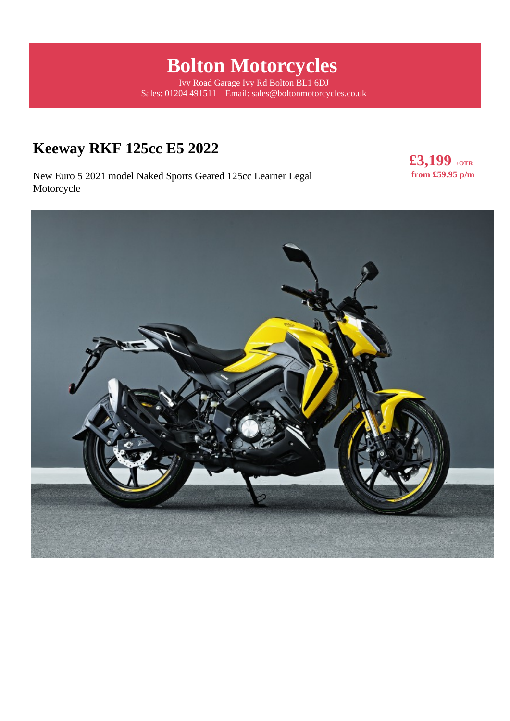# **Bolton Motorcycles**

Ivy Road Garage Ivy Rd Bolton BL1 6DJ Sales: 01204 491511 Email: sales@boltonmotorcycles.co.uk

# **Keeway RKF 125cc E5 2022**

New Euro 5 2021 model Naked Sports Geared 125cc Learner Legal Motorcycle

**£3,199 +OTR from £59.95 p/m** 

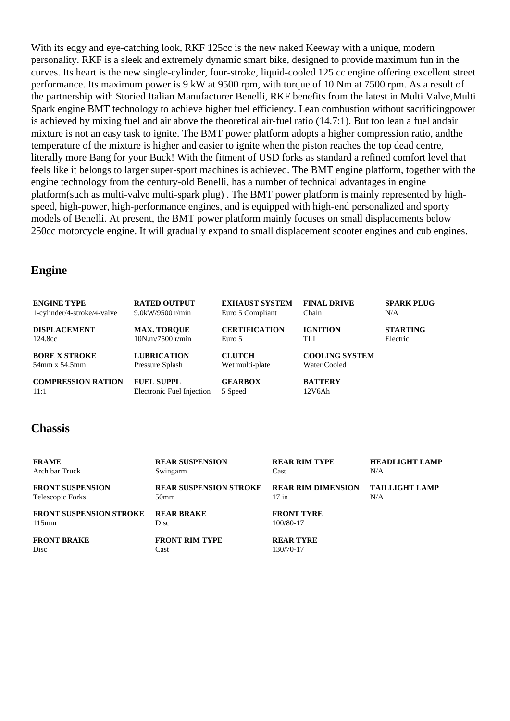With its edgy and eye-catching look, RKF 125cc is the new naked Keeway with a unique, modern personality. RKF is a sleek and extremely dynamic smart bike, designed to provide maximum fun in the curves. Its heart is the new single-cylinder, four-stroke, liquid-cooled 125 cc engine offering excellent street performance. Its maximum power is 9 kW at 9500 rpm, with torque of 10 Nm at 7500 rpm. As a result of the partnership with Storied Italian Manufacturer Benelli, RKF benefits from the latest in Multi Valve,Multi Spark engine BMT technology to achieve higher fuel efficiency. Lean combustion without sacrificingpower is achieved by mixing fuel and air above the theoretical air-fuel ratio (14.7:1). But too lean a fuel andair mixture is not an easy task to ignite. The BMT power platform adopts a higher compression ratio, andthe temperature of the mixture is higher and easier to ignite when the piston reaches the top dead centre, literally more Bang for your Buck! With the fitment of USD forks as standard a refined comfort level that feels like it belongs to larger super-sport machines is achieved. The BMT engine platform, together with the engine technology from the century-old Benelli, has a number of technical advantages in engine platform(such as multi-valve multi-spark plug) . The BMT power platform is mainly represented by highspeed, high-power, high-performance engines, and is equipped with high-end personalized and sporty models of Benelli. At present, the BMT power platform mainly focuses on small displacements below 250cc motorcycle engine. It will gradually expand to small displacement scooter engines and cub engines.

#### **Engine**

| <b>ENGINE TYPE</b>          | <b>RATED OUTPUT</b>       | <b>EXHAUST SYSTEM</b> | <b>FINAL DRIVE</b>    | <b>SPARK PLUG</b> |
|-----------------------------|---------------------------|-----------------------|-----------------------|-------------------|
| 1-cylinder/4-stroke/4-valve | $9.0$ kW/9500 r/min       | Euro 5 Compliant      | Chain                 | N/A               |
| <b>DISPLACEMENT</b>         | <b>MAX. TOROUE</b>        | <b>CERTIFICATION</b>  | <b>IGNITION</b>       | <b>STARTING</b>   |
| 124.8cc                     | 10N.m/7500 r/min          | Euro 5                | TLI                   | Electric          |
| <b>BORE X STROKE</b>        | <b>LUBRICATION</b>        | <b>CLUTCH</b>         | <b>COOLING SYSTEM</b> |                   |
| 54mm x 54.5mm               | Pressure Splash           | Wet multi-plate       | <b>Water Cooled</b>   |                   |
| <b>COMPRESSION RATION</b>   | <b>FUEL SUPPL</b>         | <b>GEARBOX</b>        | <b>BATTERY</b>        |                   |
| 11:1                        | Electronic Fuel Injection | 5 Speed               | 12V6Ah                |                   |

#### **Chassis**

| <b>FRAME</b>                   | <b>REAR SUSPENSION</b>        | <b>REAR RIM TYPE</b> | <b>HEADLIGHT LAMP</b> |
|--------------------------------|-------------------------------|----------------------|-----------------------|
| Arch bar Truck                 | Swingarm                      | Cast                 | N/A                   |
| <b>FRONT SUSPENSION</b>        | <b>REAR SUSPENSION STROKE</b> | REAR RIM DIMENSION   | <b>TAILLIGHT LAMP</b> |
| Telescopic Forks               | 50 <sub>mm</sub>              | $17$ in              | N/A                   |
| <b>FRONT SUSPENSION STROKE</b> | <b>REAR BRAKE</b>             | <b>FRONT TYRE</b>    |                       |
| 115mm                          | <b>Disc</b>                   | 100/80-17            |                       |
| <b>FRONT BRAKE</b>             | <b>FRONT RIM TYPE</b>         | <b>REAR TYRE</b>     |                       |
| Disc                           | Cast                          | 130/70-17            |                       |